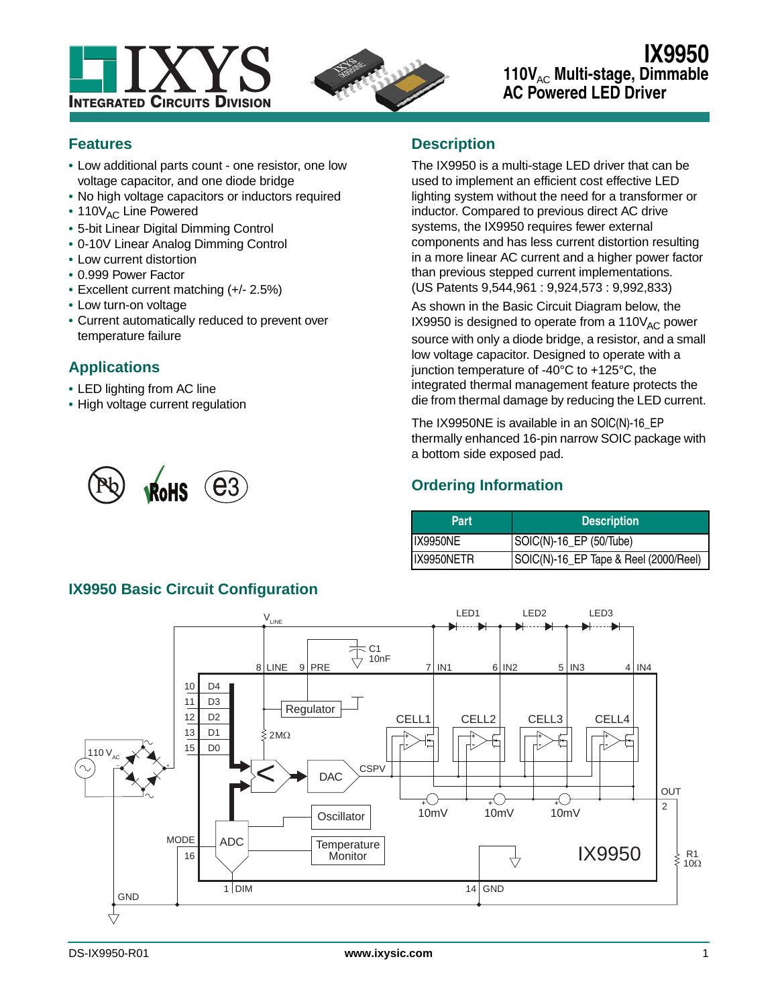



## **IX9950** 110V<sub>AC</sub> Multi-stage, Dimmable **AC Powered LED Driver**

#### **Features**

- **•** Low additional parts count one resistor, one low voltage capacitor, and one diode bridge
- **•** No high voltage capacitors or inductors required
- 110V<sub>AC</sub> Line Powered
- **•** 5-bit Linear Digital Dimming Control
- **•** 0-10V Linear Analog Dimming Control
- **•** Low current distortion
- **•** 0.999 Power Factor
- **•** Excellent current matching (+/- 2.5%)
- **•** Low turn-on voltage
- **•** Current automatically reduced to prevent over temperature failure

## **Applications**

- **•** LED lighting from AC line
- **•** High voltage current regulation



**IX9950 Basic Circuit Configuration**

## **Description**

The IX9950 is a multi-stage LED driver that can be used to implement an efficient cost effective LED lighting system without the need for a transformer or inductor. Compared to previous direct AC drive systems, the IX9950 requires fewer external components and has less current distortion resulting in a more linear AC current and a higher power factor than previous stepped current implementations. (US Patents 9,544,961 : 9,924,573 : 9,992,833)

As shown in the Basic Circuit Diagram below, the IX9950 is designed to operate from a  $110V_{AC}$  power source with only a diode bridge, a resistor, and a small low voltage capacitor. Designed to operate with a junction temperature of -40°C to +125°C, the integrated thermal management feature protects the die from thermal damage by reducing the LED current.

The IX9950NE is available in an SOIC(N)-16\_EP thermally enhanced 16-pin narrow SOIC package with a bottom side exposed pad.

## **Ordering Information**

| Part       | <b>Description</b>                    |
|------------|---------------------------------------|
| IX9950NE   | SOIC(N)-16_EP (50/Tube)               |
| IX9950NETR | SOIC(N)-16_EP Tape & Reel (2000/Reel) |

#### LED1 LED2 LED3  $V_{LINE}$ C1 10nF 8 LINE PRE 9 7 IN1 I 6 N2 I 5 N3 I 4 N4 D4 10  $11$ D3 Regulator  $12$ D<sub>2</sub> CELL1 CELL2 CELL3 CELL4 13 D1  $2M<sub>\Omega</sub>$ **+ + + + - - - -** 15 D0  $110\,\mathrm{V_{AC}}$  $\leq$ **CSPV** − + DAC OUT **+ + +** 2 10mV 10mV 10mV **Oscillator** MODE ADC Temperature IX9950 16  $\frac{R1}{10\Omega}$ **Monitor**  $\overline{\mathcal{A}}$ ≹  $1$ DIM  $14$  GND **GND**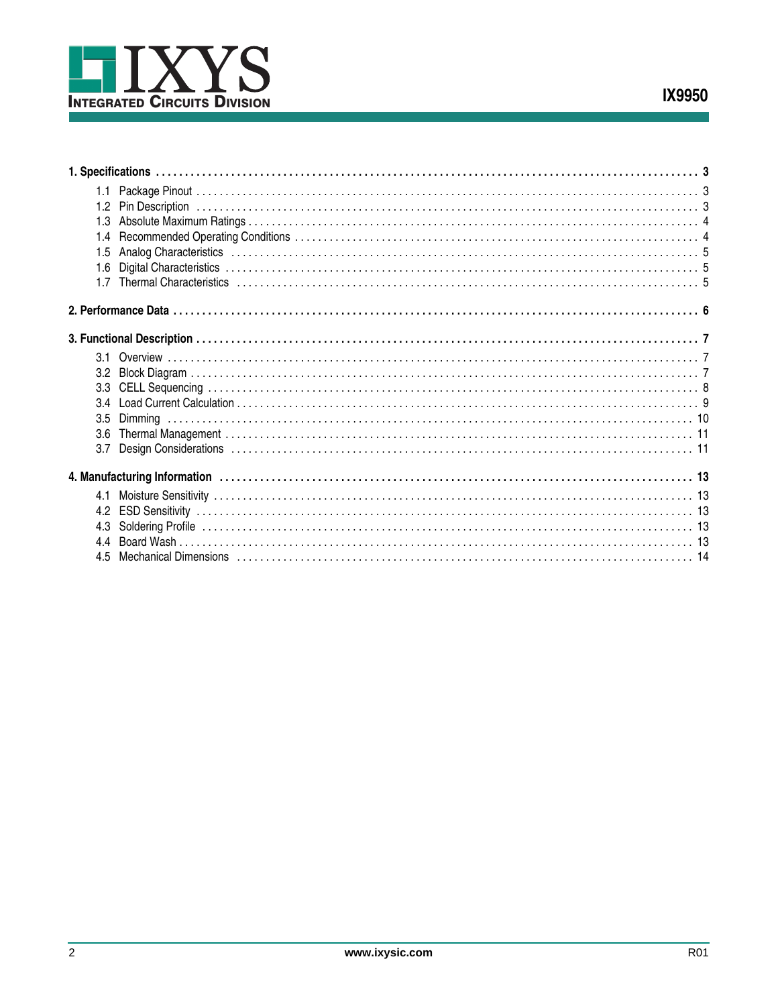

| 1.3 |                                                                                                               |  |
|-----|---------------------------------------------------------------------------------------------------------------|--|
| 1.4 |                                                                                                               |  |
| 1.5 |                                                                                                               |  |
| 1.6 |                                                                                                               |  |
|     |                                                                                                               |  |
|     |                                                                                                               |  |
|     |                                                                                                               |  |
|     |                                                                                                               |  |
|     |                                                                                                               |  |
|     |                                                                                                               |  |
| 34  |                                                                                                               |  |
| 3.5 |                                                                                                               |  |
| 3.6 |                                                                                                               |  |
| 3.7 |                                                                                                               |  |
|     |                                                                                                               |  |
| 4.1 |                                                                                                               |  |
|     |                                                                                                               |  |
|     |                                                                                                               |  |
|     |                                                                                                               |  |
| 45  | Mechanical Dimensions (1996) (1996) (1996) (1997) (1996) (1997) (1998) (1998) (1998) (1998) (1998) (1998) (19 |  |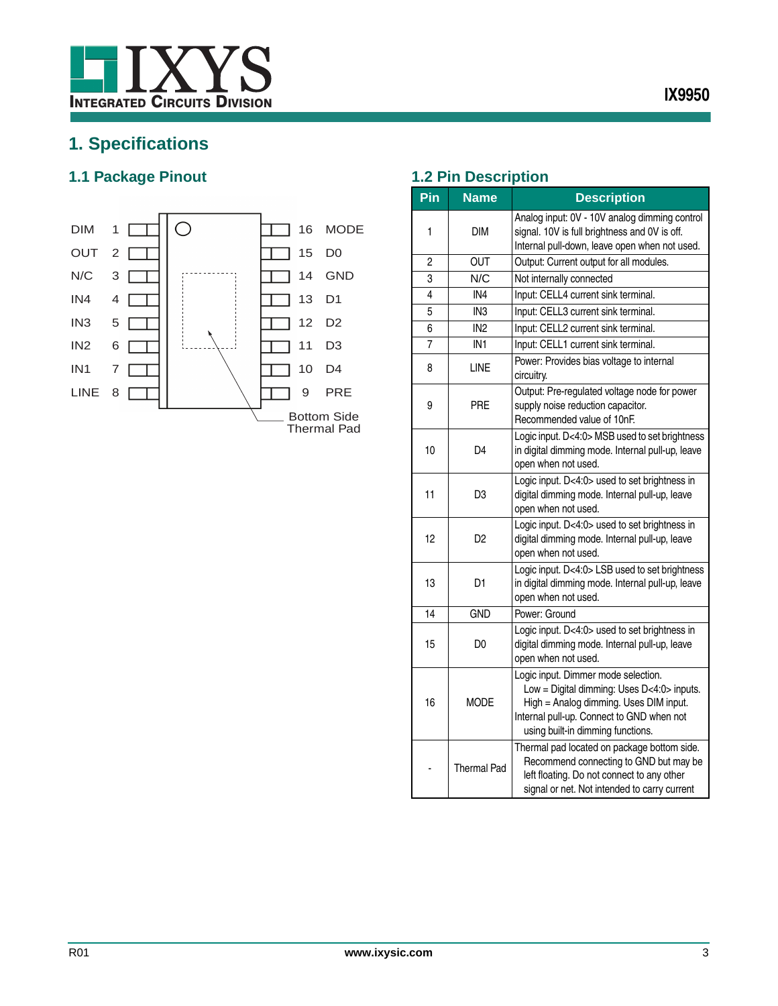

# <span id="page-2-0"></span>**1. Specifications**

## <span id="page-2-1"></span>**1.1 Package Pinout 1.2 Pin Description**



<span id="page-2-2"></span>

| Pin | <b>Name</b>     | <b>Description</b>                                                                                                                                                                                            |  |  |  |
|-----|-----------------|---------------------------------------------------------------------------------------------------------------------------------------------------------------------------------------------------------------|--|--|--|
| 1   | DIM             | Analog input: 0V - 10V analog dimming control<br>signal. 10V is full brightness and 0V is off.<br>Internal pull-down, leave open when not used.                                                               |  |  |  |
| 2   | OUT             | Output: Current output for all modules.                                                                                                                                                                       |  |  |  |
| 3   | N/C             | Not internally connected                                                                                                                                                                                      |  |  |  |
| 4   | IN4             | Input: CELL4 current sink terminal.                                                                                                                                                                           |  |  |  |
| 5   | IN <sub>3</sub> | Input: CELL3 current sink terminal.                                                                                                                                                                           |  |  |  |
| 6   | IN <sub>2</sub> | Input: CELL2 current sink terminal.                                                                                                                                                                           |  |  |  |
| 7   | IN <sub>1</sub> | Input: CELL1 current sink terminal.                                                                                                                                                                           |  |  |  |
| 8   | <b>LINE</b>     | Power: Provides bias voltage to internal<br>circuitry.                                                                                                                                                        |  |  |  |
| 9   | PRE             | Output: Pre-regulated voltage node for power<br>supply noise reduction capacitor.<br>Recommended value of 10nF.                                                                                               |  |  |  |
| 10  | D4              | Logic input. D<4:0> MSB used to set brightness<br>in digital dimming mode. Internal pull-up, leave<br>open when not used.                                                                                     |  |  |  |
| 11  | D <sub>3</sub>  | Logic input. D<4:0> used to set brightness in<br>digital dimming mode. Internal pull-up, leave<br>open when not used.                                                                                         |  |  |  |
| 12  | D <sub>2</sub>  | Logic input. D<4:0> used to set brightness in<br>digital dimming mode. Internal pull-up, leave<br>open when not used.                                                                                         |  |  |  |
| 13  | D1              | Logic input. D<4:0> LSB used to set brightness<br>in digital dimming mode. Internal pull-up, leave<br>open when not used.                                                                                     |  |  |  |
| 14  | <b>GND</b>      | Power: Ground                                                                                                                                                                                                 |  |  |  |
| 15  | D <sub>0</sub>  | Logic input. D<4:0> used to set brightness in<br>digital dimming mode. Internal pull-up, leave<br>open when not used.                                                                                         |  |  |  |
| 16  | <b>MODE</b>     | Logic input. Dimmer mode selection.<br>Low = Digital dimming: Uses D<4:0> inputs.<br>High = Analog dimming. Uses DIM input.<br>Internal pull-up. Connect to GND when not<br>using built-in dimming functions. |  |  |  |
|     | Thermal Pad     | Thermal pad located on package bottom side.<br>Recommend connecting to GND but may be<br>left floating. Do not connect to any other<br>signal or net. Not intended to carry current                           |  |  |  |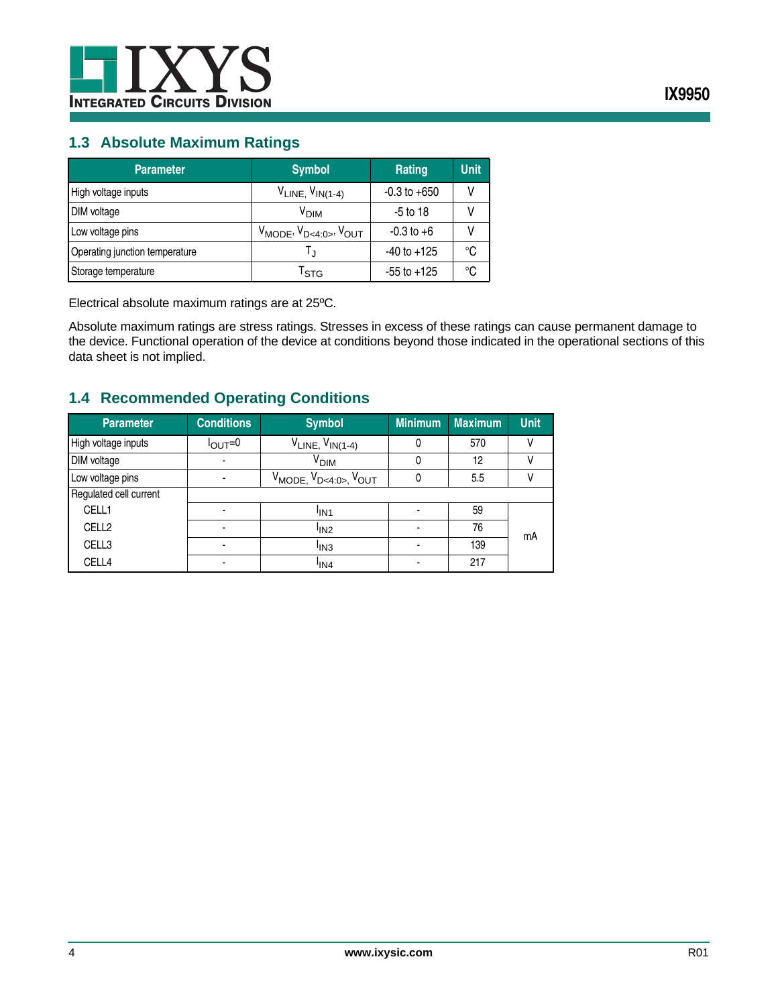

#### <span id="page-3-0"></span>**1.3 Absolute Maximum Ratings**

| <b>Parameter</b>               | <b>Symbol</b>                         | Rating           | <b>Unit</b> |
|--------------------------------|---------------------------------------|------------------|-------------|
| High voltage inputs            | $V_{LINE}$ , $V_{IN(1-4)}$            | $-0.3$ to $+650$ |             |
| DIM voltage                    | V <sub>DIM</sub>                      | $-5$ to 18       |             |
| Low voltage pins               | $V_{MODE}$ , $V_{D<4:0>}$ , $V_{OUT}$ | $-0.3$ to $+6$   |             |
| Operating junction temperature |                                       | $-40$ to $+125$  | °C          |
| Storage temperature            | <sup>l</sup> stg                      | $-55$ to $+125$  | °C          |

Electrical absolute maximum ratings are at 25ºC.

Absolute maximum ratings are stress ratings. Stresses in excess of these ratings can cause permanent damage to the device. Functional operation of the device at conditions beyond those indicated in the operational sections of this data sheet is not implied.

## <span id="page-3-1"></span>**1.4 Recommended Operating Conditions**

| <b>Parameter</b>       | <b>Conditions</b>  | <b>Symbol</b>                         | <b>Minimum</b> | <b>Maximum</b> | <b>Unit</b> |
|------------------------|--------------------|---------------------------------------|----------------|----------------|-------------|
| High voltage inputs    | $I_{\text{OUT}}=0$ | $V_{LINE}$ , $V_{IN(1-4)}$            | 0              | 570            |             |
| DIM voltage            |                    | V <sub>DIM</sub>                      | 0              | 12             |             |
| Low voltage pins       |                    | $V_{MODE}$ , $V_{D<4:0>}$ , $V_{OUT}$ | 0              | 5.5            |             |
| Regulated cell current |                    |                                       |                |                |             |
| CELL1                  | ۰                  | <sup>I</sup> IN1                      |                | 59             |             |
| CELL <sub>2</sub>      | -                  | <sup>I</sup> IN <sub>2</sub>          |                | 76             | mA          |
| CELL3                  |                    | <sup>I</sup> IN3                      |                | 139            |             |
| CELL4                  |                    | <sup>I</sup> IN4                      |                | 217            |             |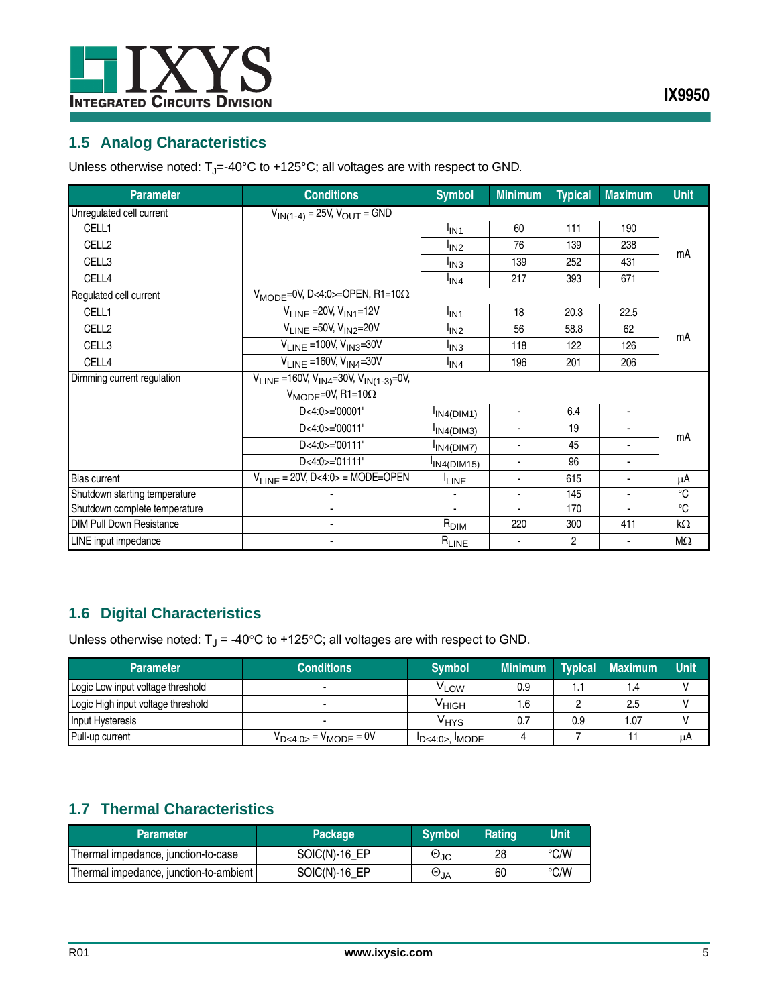

## <span id="page-4-0"></span>**1.5 Analog Characteristics**

Unless otherwise noted:  $T_J$ =-40°C to +125°C; all voltages are with respect to GND.

| <b>Parameter</b>                | <b>Conditions</b>                                    | <b>Symbol</b>                | <b>Minimum</b>           | <b>Typical</b> | <b>Maximum</b>           | <b>Unit</b> |
|---------------------------------|------------------------------------------------------|------------------------------|--------------------------|----------------|--------------------------|-------------|
| Unregulated cell current        | $V_{IN(1-4)} = 25V, V_{OUT} = GND$                   |                              |                          |                |                          |             |
| CELL1                           |                                                      | <sup>I</sup> IN <sub>1</sub> | 60                       | 111            | 190                      |             |
| CELL <sub>2</sub>               |                                                      | <sup>I</sup> IN <sub>2</sub> | 76                       | 139            | 238                      |             |
| CELL3                           |                                                      | <sup>I</sup> IN <sub>3</sub> | 139                      | 252            | 431                      | mA          |
| CELL4                           |                                                      | l <sub>IN4</sub>             | 217                      | 393            | 671                      |             |
| Regulated cell current          | $V_{\text{MODE}}$ =0V, D<4:0>=OPEN, R1=10 $\Omega$   |                              |                          |                |                          |             |
| CELL1                           | $V_{LINE}$ = 20V, $V_{IN1}$ = 12V                    | <sup>I</sup> IN <sub>1</sub> | 18                       | 20.3           | 22.5                     |             |
| CELL <sub>2</sub>               | $V_{LINE}$ =50V, $V_{IN2}$ =20V                      | <sup>I</sup> IN <sub>2</sub> | 56                       | 58.8           | 62                       |             |
| CELL3                           | $V_{I INF}$ = 100V, $V_{IN3}$ =30V                   | <sup>I</sup> IN3             | 118                      | 122            | 126                      | mΑ          |
| CELL4                           | $V_{I INF}$ =160V, $V_{IN4}$ =30V                    | $I_{IN4}$                    | 196                      | 201            | 206                      |             |
| Dimming current regulation      | $V_{LINE}$ =160V, $V_{IN4}$ =30V, $V_{IN(1-3)}$ =0V, |                              |                          |                |                          |             |
|                                 | $V_{MODE} = 0V$ , R1=10 $\Omega$                     |                              |                          |                |                          |             |
|                                 | $D < 4:0 > = 00001$                                  | IN4(DIM1)                    | ٠                        | 6.4            | $\blacksquare$           |             |
|                                 | D<4:0>='00011'                                       | IN4(DIM3)                    | ٠                        | 19             | ٠                        |             |
|                                 | D<4:0>='00111'                                       | IN4(DIM7)                    | ٠                        | 45             | ۰                        | mΑ          |
|                                 | D<4:0>='01111'                                       | IN4(DIM15)                   | ٠                        | 96             |                          |             |
| <b>Bias current</b>             | $V_{LINE}$ = 20V, D<4:0> = MODE=OPEN                 | <sup>I</sup> LINE            | $\overline{\phantom{a}}$ | 615            |                          | μA          |
| Shutdown starting temperature   |                                                      | $\overline{\phantom{a}}$     | ٠                        | 145            | $\overline{\phantom{a}}$ | °C          |
| Shutdown complete temperature   |                                                      | $\blacksquare$               | $\overline{\phantom{a}}$ | 170            | ٠                        | $^{\circ}C$ |
| <b>DIM Pull Down Resistance</b> |                                                      | $R_{\text{DIM}}$             | 220                      | 300            | 411                      | kΩ          |
| LINE input impedance            |                                                      | $R_{LINE}$                   |                          | $\overline{c}$ |                          | $M\Omega$   |

## <span id="page-4-1"></span>**1.6 Digital Characteristics**

Unless otherwise noted:  $T_J = -40^{\circ}C$  to +125°C; all voltages are with respect to GND.

| <b>Parameter</b>                   | <b>Conditions</b>              | <b>Symbol</b>                     | <b>Minimum</b> | <b>Typical</b> | <b>Maximum</b> | <b>Unit</b> |
|------------------------------------|--------------------------------|-----------------------------------|----------------|----------------|----------------|-------------|
| Logic Low input voltage threshold  |                                | <sup>V</sup> LOW                  | 0.9            | ۱.1            | 1.4            |             |
| Logic High input voltage threshold |                                | Уніgн                             | 6. ا           |                | 2.5            |             |
| Input Hysteresis                   |                                | VHYS                              |                | 0.9            | 1.07           |             |
| Pull-up current                    | $V_{D < 4:0>} = V_{MODE} = 0V$ | $\text{!D}$ <4:0>. $\text{!MODE}$ |                |                |                | μA          |

## <span id="page-4-2"></span>**1.7 Thermal Characteristics**

| <b>Parameter</b>                       | <b>Package</b> | <b>Symbol</b>        | Rating | <b>Unit</b> |
|----------------------------------------|----------------|----------------------|--------|-------------|
| Thermal impedance, junction-to-case    | $SOIC(N)-16EP$ | $\Theta_{\text{JC}}$ | 28     | °C/W        |
| Thermal impedance, junction-to-ambient | $SOIC(N)-16EP$ | $\Theta_{JA}$        | 60     | °C/W        |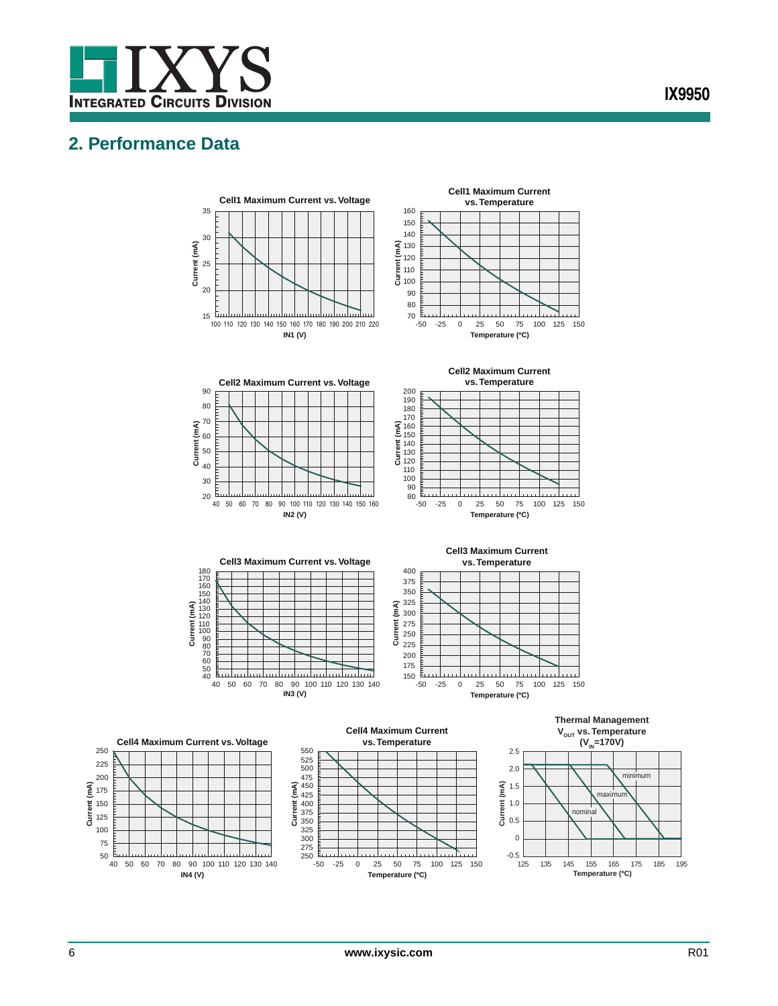

## <span id="page-5-0"></span>**2. Performance Data**



**Current (mA)**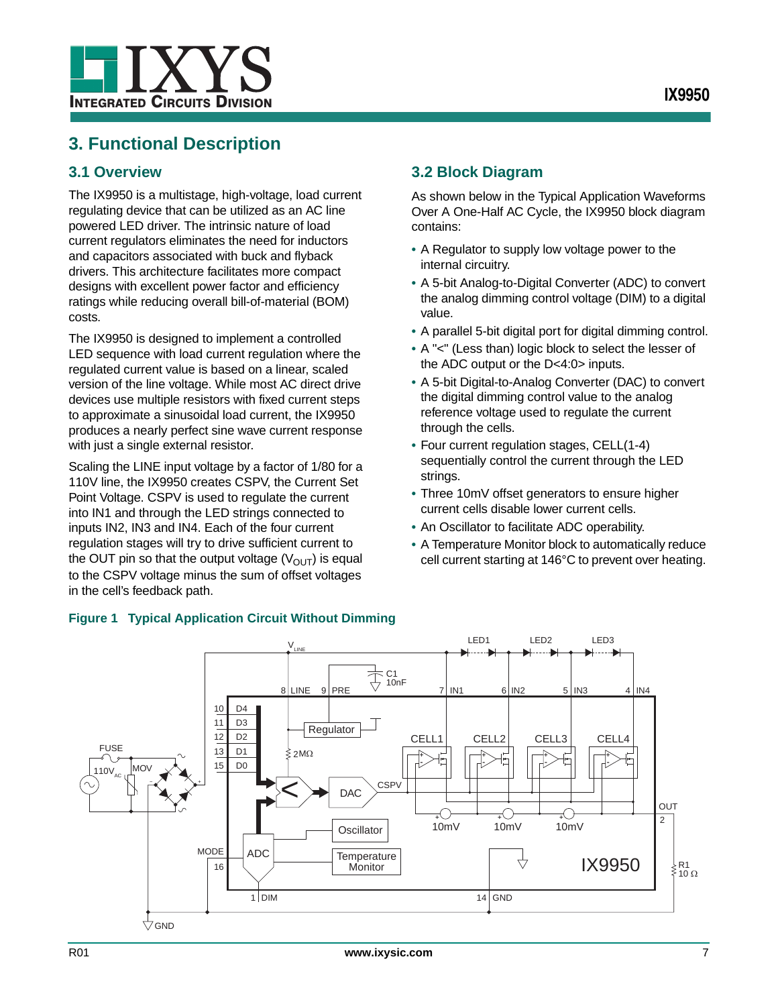

## <span id="page-6-0"></span>**3. Functional Description**

## <span id="page-6-1"></span>**3.1 Overview**

The IX9950 is a multistage, high-voltage, load current regulating device that can be utilized as an AC line powered LED driver. The intrinsic nature of load current regulators eliminates the need for inductors and capacitors associated with buck and flyback drivers. This architecture facilitates more compact designs with excellent power factor and efficiency ratings while reducing overall bill-of-material (BOM) costs.

The IX9950 is designed to implement a controlled LED sequence with load current regulation where the regulated current value is based on a linear, scaled version of the line voltage. While most AC direct drive devices use multiple resistors with fixed current steps to approximate a sinusoidal load current, the IX9950 produces a nearly perfect sine wave current response with just a single external resistor.

Scaling the LINE input voltage by a factor of 1/80 for a 110V line, the IX9950 creates CSPV, the Current Set Point Voltage. CSPV is used to regulate the current into IN1 and through the LED strings connected to inputs IN2, IN3 and IN4. Each of the four current regulation stages will try to drive sufficient current to the OUT pin so that the output voltage  $(V_{\text{OUT}})$  is equal to the CSPV voltage minus the sum of offset voltages in the cell's feedback path.

## <span id="page-6-2"></span>**3.2 Block Diagram**

As shown below in the [Typical Application Waveforms](#page-11-0)  [Over A One-Half AC Cycle](#page-11-0), the IX9950 block diagram contains:

- **•** A Regulator to supply low voltage power to the internal circuitry.
- **•** A 5-bit Analog-to-Digital Converter (ADC) to convert the analog dimming control voltage (DIM) to a digital value.
- **•** A parallel 5-bit digital port for digital dimming control.
- **•** A "<" (Less than) logic block to select the lesser of the ADC output or the D<4:0> inputs.
- **•** A 5-bit Digital-to-Analog Converter (DAC) to convert the digital dimming control value to the analog reference voltage used to regulate the current through the cells.
- **•** Four current regulation stages, CELL(1-4) sequentially control the current through the LED strings.
- **•** Three 10mV offset generators to ensure higher current cells disable lower current cells.
- **•** An Oscillator to facilitate ADC operability.
- **•** A Temperature Monitor block to automatically reduce cell current starting at 146°C to prevent over heating.



#### <span id="page-6-3"></span>**Figure 1 Typical Application Circuit Without Dimming**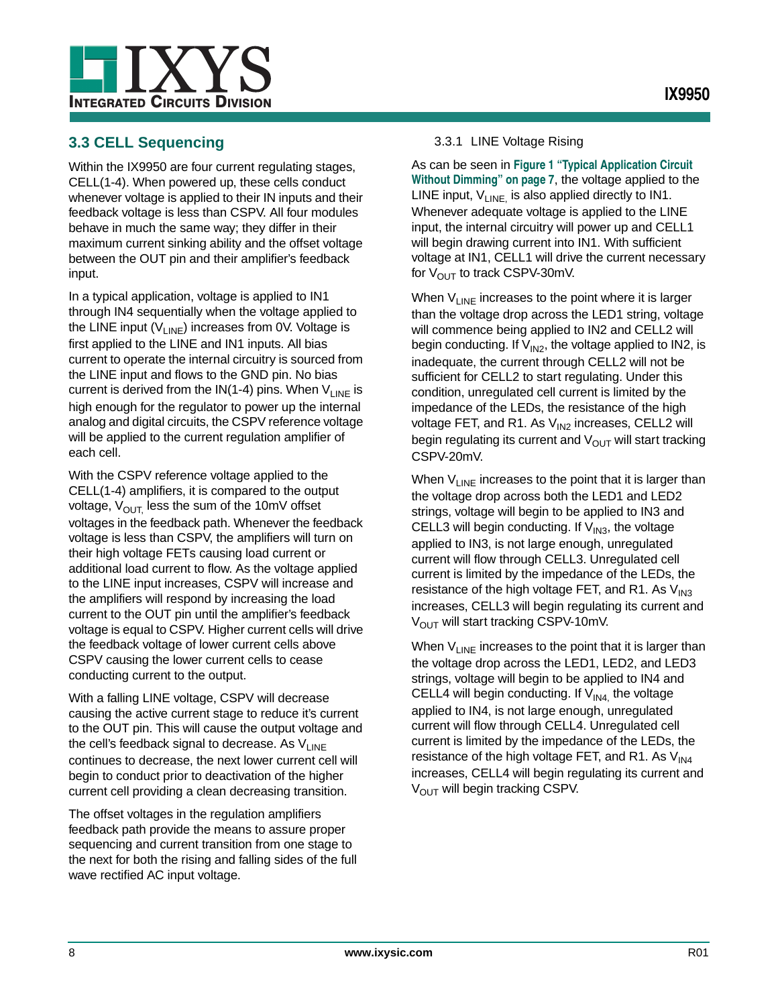

## <span id="page-7-0"></span>**3.3 CELL Sequencing**

Within the IX9950 are four current regulating stages, CELL(1-4). When powered up, these cells conduct whenever voltage is applied to their IN inputs and their feedback voltage is less than CSPV. All four modules behave in much the same way; they differ in their maximum current sinking ability and the offset voltage between the OUT pin and their amplifier's feedback input.

In a typical application, voltage is applied to IN1 through IN4 sequentially when the voltage applied to the LINE input  $(V_{LINE})$  increases from 0V. Voltage is first applied to the LINE and IN1 inputs. All bias current to operate the internal circuitry is sourced from the LINE input and flows to the GND pin. No bias current is derived from the  $IN(1-4)$  pins. When  $V_{LINE}$  is high enough for the regulator to power up the internal analog and digital circuits, the CSPV reference voltage will be applied to the current regulation amplifier of each cell.

With the CSPV reference voltage applied to the CELL(1-4) amplifiers, it is compared to the output voltage,  $V_{\text{OUT}}$  less the sum of the 10mV offset voltages in the feedback path. Whenever the feedback voltage is less than CSPV, the amplifiers will turn on their high voltage FETs causing load current or additional load current to flow. As the voltage applied to the LINE input increases, CSPV will increase and the amplifiers will respond by increasing the load current to the OUT pin until the amplifier's feedback voltage is equal to CSPV. Higher current cells will drive the feedback voltage of lower current cells above CSPV causing the lower current cells to cease conducting current to the output.

With a falling LINE voltage, CSPV will decrease causing the active current stage to reduce it's current to the OUT pin. This will cause the output voltage and the cell's feedback signal to decrease. As  $V_{LINE}$ continues to decrease, the next lower current cell will begin to conduct prior to deactivation of the higher current cell providing a clean decreasing transition.

The offset voltages in the regulation amplifiers feedback path provide the means to assure proper sequencing and current transition from one stage to the next for both the rising and falling sides of the full wave rectified AC input voltage.

#### 3.3.1 LINE Voltage Rising

As can be seen in **[Figure 1 "Typical Application Circuit](#page-6-3)  [Without Dimming" on page 7](#page-6-3)**, the voltage applied to the LINE input,  $V_{LINE}$  is also applied directly to IN1. Whenever adequate voltage is applied to the LINE input, the internal circuitry will power up and CELL1 will begin drawing current into IN1. With sufficient voltage at IN1, CELL1 will drive the current necessary for  $V_{\text{OUT}}$  to track CSPV-30mV.

When  $V_{LINE}$  increases to the point where it is larger than the voltage drop across the LED1 string, voltage will commence being applied to IN2 and CELL2 will begin conducting. If  $V_{1N2}$ , the voltage applied to IN2, is inadequate, the current through CELL2 will not be sufficient for CELL2 to start regulating. Under this condition, unregulated cell current is limited by the impedance of the LEDs, the resistance of the high voltage FET, and R1. As  $V_{1N2}$  increases, CELL2 will begin regulating its current and  $V_{\text{OUT}}$  will start tracking CSPV-20mV.

When  $V_{LINE}$  increases to the point that it is larger than the voltage drop across both the LED1 and LED2 strings, voltage will begin to be applied to IN3 and CELL3 will begin conducting. If  $V_{IN3}$ , the voltage applied to IN3, is not large enough, unregulated current will flow through CELL3. Unregulated cell current is limited by the impedance of the LEDs, the resistance of the high voltage FET, and R1. As  $V_{IN3}$ increases, CELL3 will begin regulating its current and  $V<sub>OUT</sub>$  will start tracking CSPV-10mV.

When  $V_{LINE}$  increases to the point that it is larger than the voltage drop across the LED1, LED2, and LED3 strings, voltage will begin to be applied to IN4 and CELL4 will begin conducting. If  $V_{1N4}$  the voltage applied to IN4, is not large enough, unregulated current will flow through CELL4. Unregulated cell current is limited by the impedance of the LEDs, the resistance of the high voltage FET, and R1. As  $V_{IN4}$ increases, CELL4 will begin regulating its current and V<sub>OUT</sub> will begin tracking CSPV.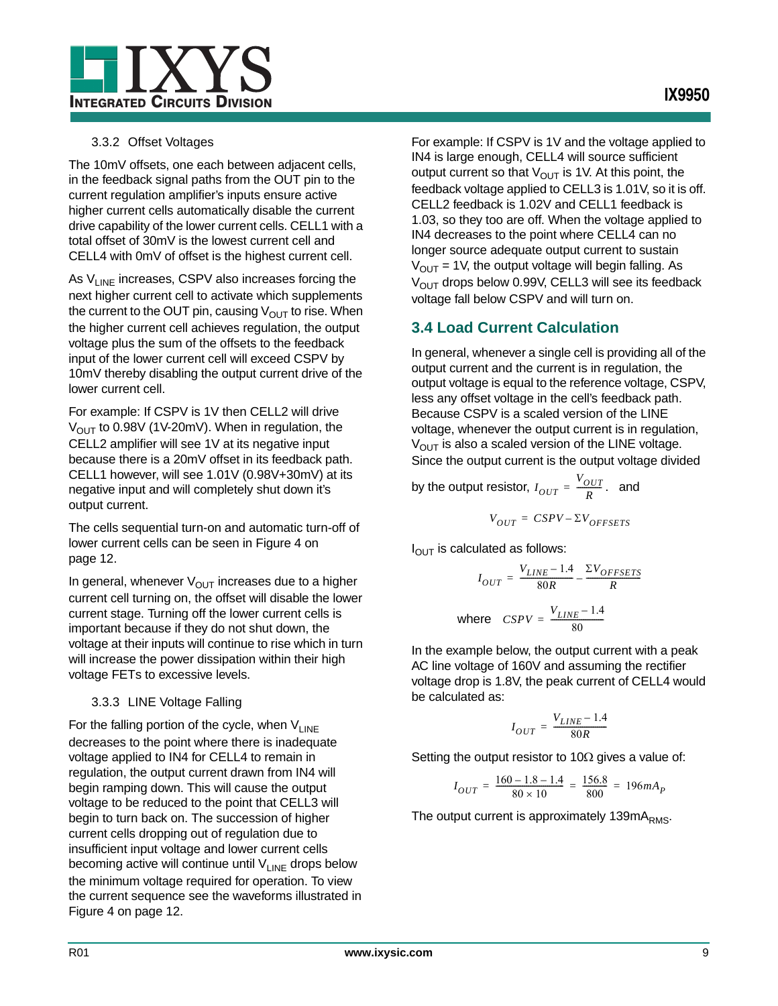

#### 3.3.2 Offset Voltages

The 10mV offsets, one each between adjacent cells, in the feedback signal paths from the OUT pin to the current regulation amplifier's inputs ensure active higher current cells automatically disable the current drive capability of the lower current cells. CELL1 with a total offset of 30mV is the lowest current cell and CELL4 with 0mV of offset is the highest current cell.

As  $V_{LINE}$  increases, CSPV also increases forcing the next higher current cell to activate which supplements the current to the OUT pin, causing  $V_{\text{OUT}}$  to rise. When the higher current cell achieves regulation, the output voltage plus the sum of the offsets to the feedback input of the lower current cell will exceed CSPV by 10mV thereby disabling the output current drive of the lower current cell.

For example: If CSPV is 1V then CELL2 will drive  $V_{\text{OUT}}$  to 0.98V (1V-20mV). When in regulation, the CELL2 amplifier will see 1V at its negative input because there is a 20mV offset in its feedback path. CELL1 however, will see 1.01V (0.98V+30mV) at its negative input and will completely shut down it's output current.

The cells sequential turn-on and automatic turn-off of lower current cells can be seen in [Figure 4 on](#page-11-0)  [page 12](#page-11-0).

In general, whenever  $V_{\text{OUT}}$  increases due to a higher current cell turning on, the offset will disable the lower current stage. Turning off the lower current cells is important because if they do not shut down, the voltage at their inputs will continue to rise which in turn will increase the power dissipation within their high voltage FETs to excessive levels.

#### 3.3.3 LINE Voltage Falling

For the falling portion of the cycle, when  $V_{LINE}$ decreases to the point where there is inadequate voltage applied to IN4 for CELL4 to remain in regulation, the output current drawn from IN4 will begin ramping down. This will cause the output voltage to be reduced to the point that CELL3 will begin to turn back on. The succession of higher current cells dropping out of regulation due to insufficient input voltage and lower current cells becoming active will continue until  $V_{LINE}$  drops below the minimum voltage required for operation. To view the current sequence see the waveforms illustrated in [Figure 4 on page 12.](#page-11-0)

For example: If CSPV is 1V and the voltage applied to IN4 is large enough, CELL4 will source sufficient output current so that  $V_{\text{OUT}}$  is 1V. At this point, the feedback voltage applied to CELL3 is 1.01V, so it is off. CELL2 feedback is 1.02V and CELL1 feedback is 1.03, so they too are off. When the voltage applied to IN4 decreases to the point where CELL4 can no longer source adequate output current to sustain  $V_{OUT}$  = 1V, the output voltage will begin falling. As  $V_{\text{OUT}}$  drops below 0.99V, CELL3 will see its feedback voltage fall below CSPV and will turn on.

## <span id="page-8-0"></span>**3.4 Load Current Calculation**

In general, whenever a single cell is providing all of the output current and the current is in regulation, the output voltage is equal to the reference voltage, CSPV, less any offset voltage in the cell's feedback path. Because CSPV is a scaled version of the LINE voltage, whenever the output current is in regulation,  $V_{\text{OUT}}$  is also a scaled version of the LINE voltage. Since the output current is the output voltage divided

by the output resistor,  $I_{OUT} = \frac{V_{OUT}}{R}$ . and

$$
V_{OUT} = CSPV - \Sigma V_{OFFSETS}
$$

 $I_{\text{OUT}}$  is calculated as follows:

$$
I_{OUT} = \frac{V_{LINE} - 1.4}{80R} - \frac{\Sigma V_{OFFSETS}}{R}
$$
  
where 
$$
CSPV = \frac{V_{LINE} - 1.4}{80}
$$

In the example below, the output current with a peak AC line voltage of 160V and assuming the rectifier voltage drop is 1.8V, the peak current of CELL4 would be calculated as:

$$
I_{OUT} = \frac{V_{LINE} - 1.4}{80R}
$$

Setting the output resistor to 10 $\Omega$  gives a value of:

$$
I_{OUT} = \frac{160 - 1.8 - 1.4}{80 \times 10} = \frac{156.8}{800} = 196 mA_P
$$

The output current is approximately 139mA<sub>RMS</sub>.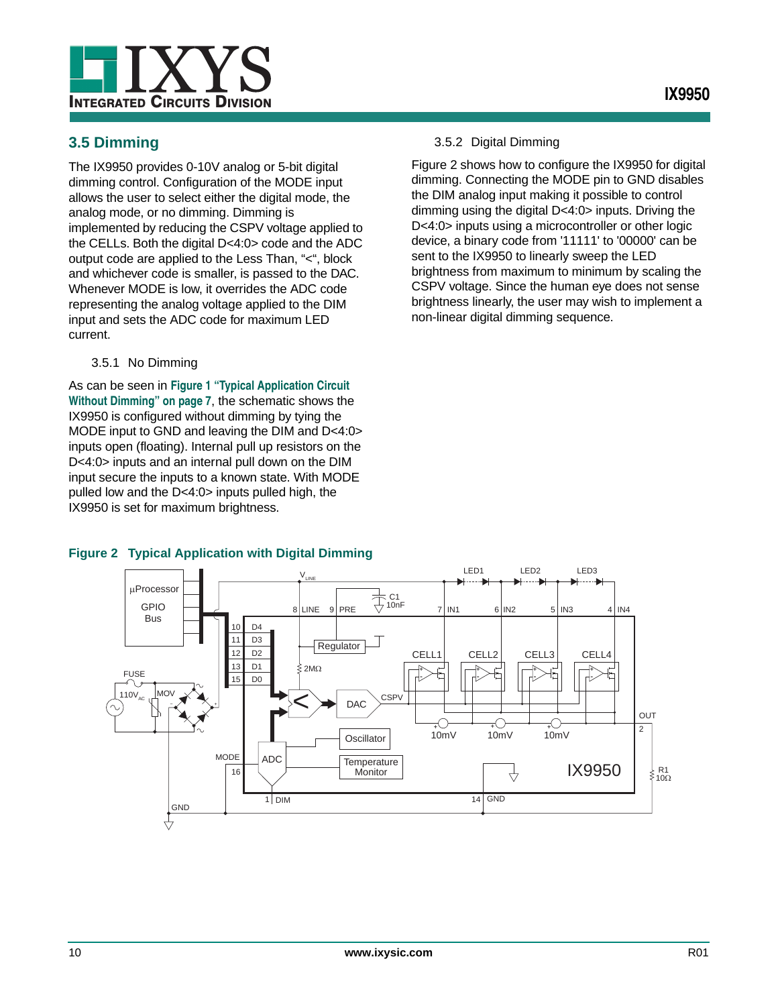

<span id="page-9-0"></span>The IX9950 provides 0-10V analog or 5-bit digital dimming control. Configuration of the MODE input allows the user to select either the digital mode, the analog mode, or no dimming. Dimming is implemented by reducing the CSPV voltage applied to the CELLs. Both the digital D<4:0> code and the ADC output code are applied to the Less Than, "<", block and whichever code is smaller, is passed to the DAC. Whenever MODE is low, it overrides the ADC code representing the analog voltage applied to the DIM input and sets the ADC code for maximum LED current.

3.5.1 No Dimming

As can be seen in **[Figure 1 "Typical Application Circuit](#page-6-3)  [Without Dimming" on page 7](#page-6-3)**, the schematic shows the IX9950 is configured without dimming by tying the MODE input to GND and leaving the DIM and D<4:0> inputs open (floating). Internal pull up resistors on the D<4:0> inputs and an internal pull down on the DIM input secure the inputs to a known state. With MODE pulled low and the D<4:0> inputs pulled high, the IX9950 is set for maximum brightness.

#### 3.5.2 Digital Dimming

[Figure 2](#page-9-1) shows how to configure the IX9950 for digital dimming. Connecting the MODE pin to GND disables the DIM analog input making it possible to control dimming using the digital D<4:0> inputs. Driving the D<4:0> inputs using a microcontroller or other logic device, a binary code from '11111' to '00000' can be sent to the IX9950 to linearly sweep the LED brightness from maximum to minimum by scaling the CSPV voltage. Since the human eye does not sense brightness linearly, the user may wish to implement a non-linear digital dimming sequence.



#### <span id="page-9-1"></span>**Figure 2 Typical Application with Digital Dimming**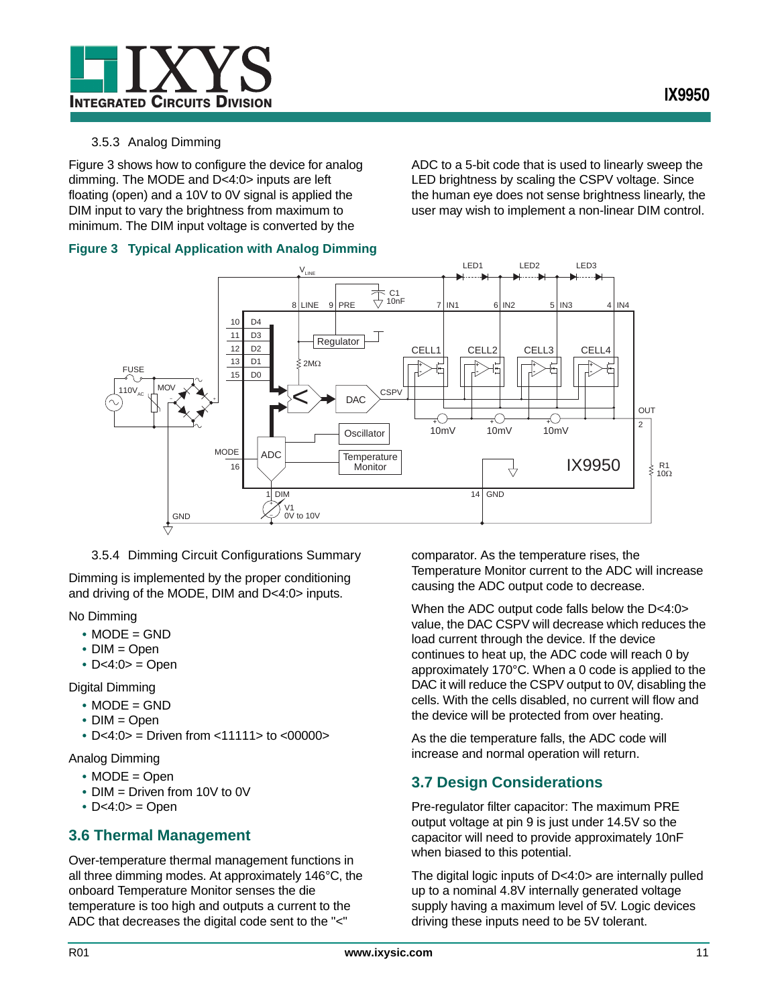

#### 3.5.3 Analog Dimming

[Figure 3](#page-10-2) shows how to configure the device for analog dimming. The MODE and D<4:0> inputs are left floating (open) and a 10V to 0V signal is applied the DIM input to vary the brightness from maximum to minimum. The DIM input voltage is converted by the

LED brightness by scaling the CSPV voltage. Since the human eye does not sense brightness linearly, the user may wish to implement a non-linear DIM control.

ADC to a 5-bit code that is used to linearly sweep the

#### <span id="page-10-2"></span>**Figure 3 Typical Application with Analog Dimming**



#### 3.5.4 Dimming Circuit Configurations Summary

Dimming is implemented by the proper conditioning and driving of the MODE, DIM and D<4:0> inputs.

No Dimming

- **•** MODE = GND
- **•** DIM = Open
- **•** D<4:0> = Open

Digital Dimming

- **•** MODE = GND
- **•** DIM = Open
- **•** D<4:0> = Driven from <11111> to <00000>

Analog Dimming

- **•** MODE = Open
- **•** DIM = Driven from 10V to 0V
- **•** D<4:0> = Open

#### <span id="page-10-0"></span>**3.6 Thermal Management**

Over-temperature thermal management functions in all three dimming modes. At approximately 146°C, the onboard Temperature Monitor senses the die temperature is too high and outputs a current to the ADC that decreases the digital code sent to the "<"

comparator. As the temperature rises, the Temperature Monitor current to the ADC will increase causing the ADC output code to decrease.

When the ADC output code falls below the D<4:0> value, the DAC CSPV will decrease which reduces the load current through the device. If the device continues to heat up, the ADC code will reach 0 by approximately 170°C. When a 0 code is applied to the DAC it will reduce the CSPV output to 0V, disabling the cells. With the cells disabled, no current will flow and the device will be protected from over heating.

As the die temperature falls, the ADC code will increase and normal operation will return.

## <span id="page-10-1"></span>**3.7 Design Considerations**

Pre-regulator filter capacitor: The maximum PRE output voltage at pin 9 is just under 14.5V so the capacitor will need to provide approximately 10nF when biased to this potential.

The digital logic inputs of D<4:0> are internally pulled up to a nominal 4.8V internally generated voltage supply having a maximum level of 5V. Logic devices driving these inputs need to be 5V tolerant.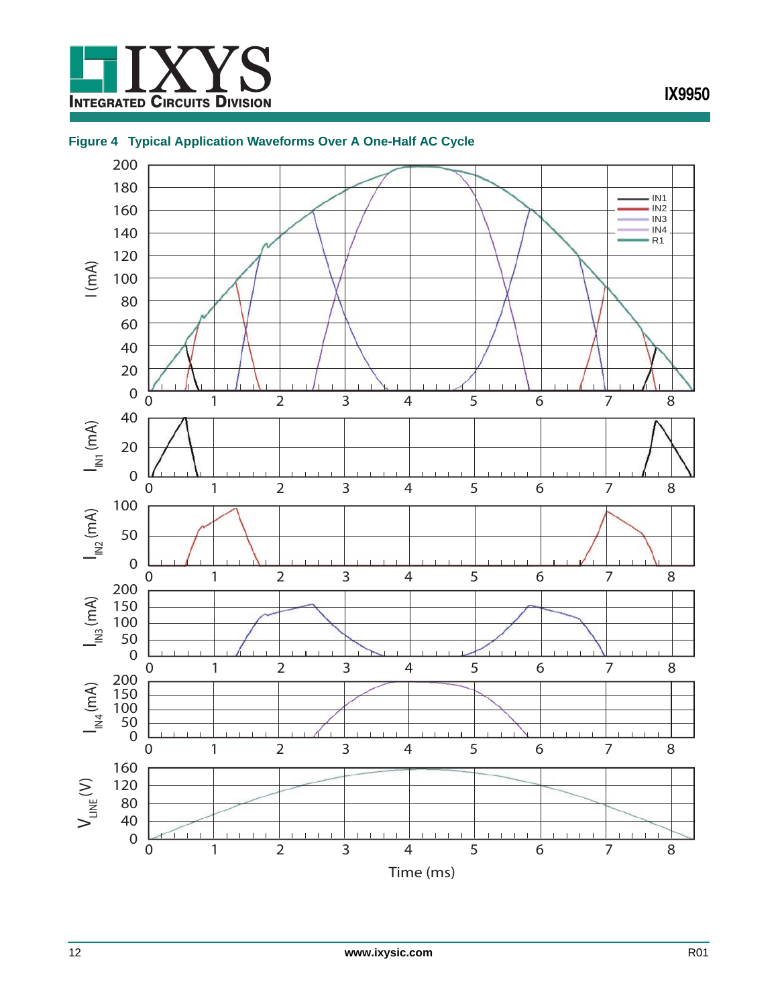

#### <span id="page-11-0"></span>**Figure 4 Typical Application Waveforms Over A One-Half AC Cycle**

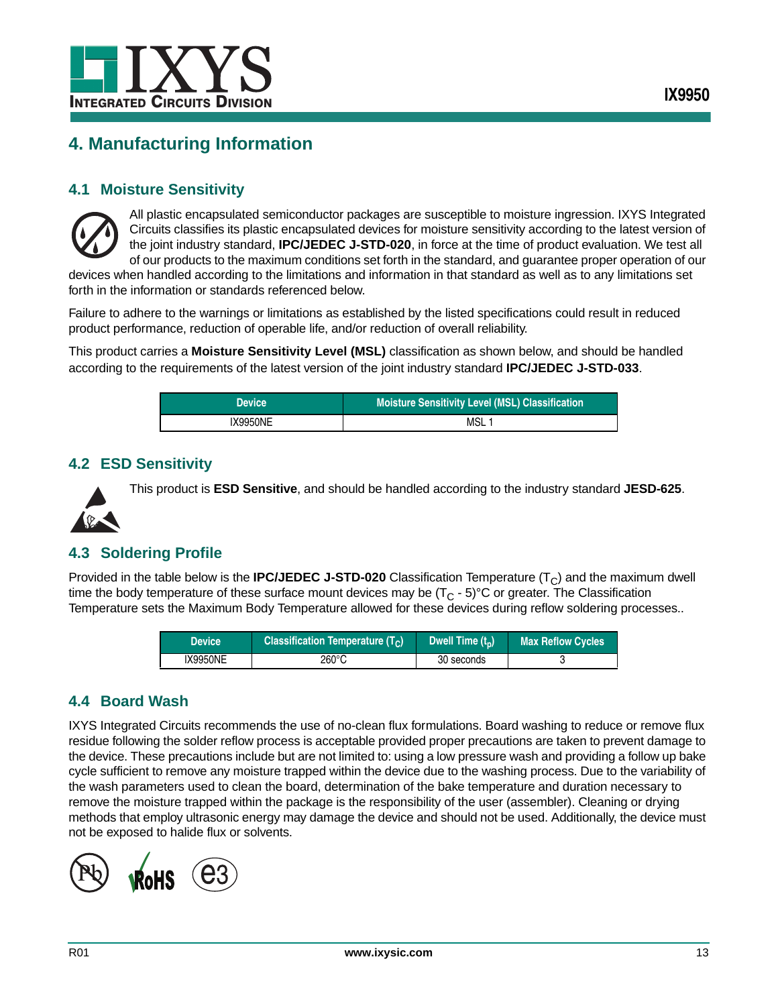

## <span id="page-12-0"></span>**4. Manufacturing Information**

#### <span id="page-12-1"></span>**4.1 Moisture Sensitivity**



All plastic encapsulated semiconductor packages are susceptible to moisture ingression. IXYS Integrated Circuits classifies its plastic encapsulated devices for moisture sensitivity according to the latest version of the joint industry standard, **IPC/JEDEC J-STD-020**, in force at the time of product evaluation. We test all of our products to the maximum conditions set forth in the standard, and guarantee proper operation of our

devices when handled according to the limitations and information in that standard as well as to any limitations set forth in the information or standards referenced below.

Failure to adhere to the warnings or limitations as established by the listed specifications could result in reduced product performance, reduction of operable life, and/or reduction of overall reliability.

This product carries a **Moisture Sensitivity Level (MSL)** classification as shown below, and should be handled according to the requirements of the latest version of the joint industry standard **IPC/JEDEC J-STD-033**.

| <b>Device</b> | <b>Moisture Sensitivity Level (MSL) Classification</b> |  |  |
|---------------|--------------------------------------------------------|--|--|
| IX9950NE      | MSL                                                    |  |  |

#### <span id="page-12-2"></span>**4.2 ESD Sensitivity**

This product is **ESD Sensitive**, and should be handled according to the industry standard **JESD-625**.



#### <span id="page-12-3"></span>**4.3 Soldering Profile**

Provided in the table below is the **IPC/JEDEC J-STD-020** Classification Temperature  $(T<sub>C</sub>)$  and the maximum dwell time the body temperature of these surface mount devices may be  $(T<sub>C</sub> - 5)$ °C or greater. The Classification Temperature sets the Maximum Body Temperature allowed for these devices during reflow soldering processes..

| <b>Device</b> | <b>Classification Temperature (T<sub>c</sub>)</b> | Dwell Time $(t_n)$ | <b>Max Reflow Cycles</b> |
|---------------|---------------------------------------------------|--------------------|--------------------------|
| IX9950NE      | 260°C                                             | 30 seconds         |                          |

#### <span id="page-12-4"></span>**4.4 Board Wash**

IXYS Integrated Circuits recommends the use of no-clean flux formulations. Board washing to reduce or remove flux residue following the solder reflow process is acceptable provided proper precautions are taken to prevent damage to the device. These precautions include but are not limited to: using a low pressure wash and providing a follow up bake cycle sufficient to remove any moisture trapped within the device due to the washing process. Due to the variability of the wash parameters used to clean the board, determination of the bake temperature and duration necessary to remove the moisture trapped within the package is the responsibility of the user (assembler). Cleaning or drying methods that employ ultrasonic energy may damage the device and should not be used. Additionally, the device must not be exposed to halide flux or solvents.